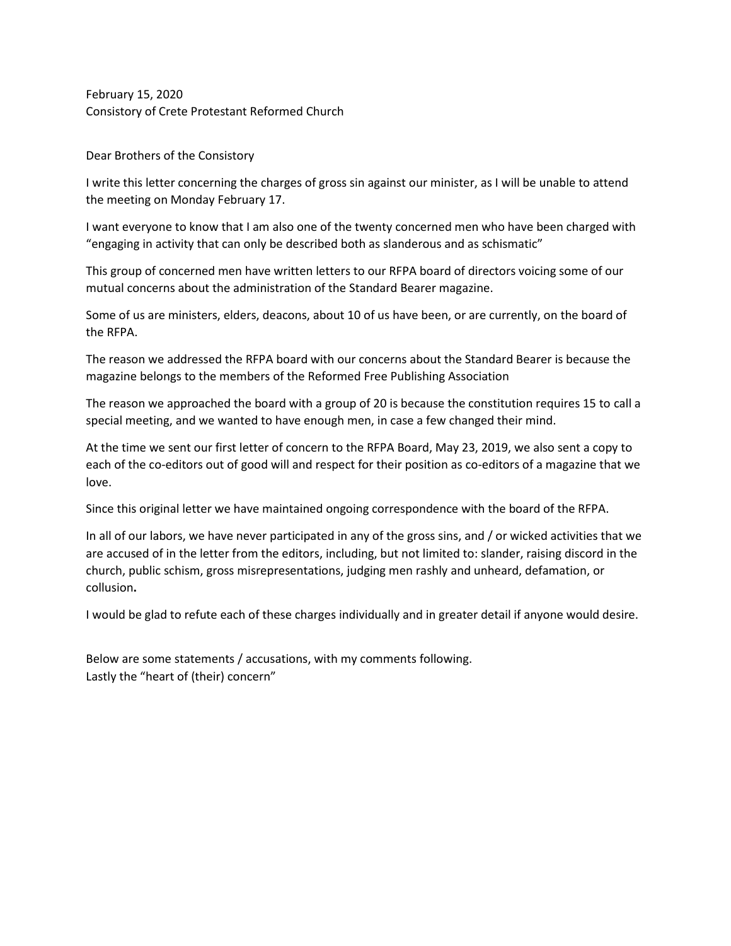February 15, 2020 Consistory of Crete Protestant Reformed Church

Dear Brothers of the Consistory

I write this letter concerning the charges of gross sin against our minister, as I will be unable to attend the meeting on Monday February 17.

I want everyone to know that I am also one of the twenty concerned men who have been charged with "engaging in activity that can only be described both as slanderous and as schismatic"

This group of concerned men have written letters to our RFPA board of directors voicing some of our mutual concerns about the administration of the Standard Bearer magazine.

Some of us are ministers, elders, deacons, about 10 of us have been, or are currently, on the board of the RFPA.

The reason we addressed the RFPA board with our concerns about the Standard Bearer is because the magazine belongs to the members of the Reformed Free Publishing Association

The reason we approached the board with a group of 20 is because the constitution requires 15 to call a special meeting, and we wanted to have enough men, in case a few changed their mind.

At the time we sent our first letter of concern to the RFPA Board, May 23, 2019, we also sent a copy to each of the co-editors out of good will and respect for their position as co-editors of a magazine that we love.

Since this original letter we have maintained ongoing correspondence with the board of the RFPA.

In all of our labors, we have never participated in any of the gross sins, and / or wicked activities that we are accused of in the letter from the editors, including, but not limited to: slander, raising discord in the church, public schism, gross misrepresentations, judging men rashly and unheard, defamation, or collusion**.**

I would be glad to refute each of these charges individually and in greater detail if anyone would desire.

Below are some statements / accusations, with my comments following. Lastly the "heart of (their) concern"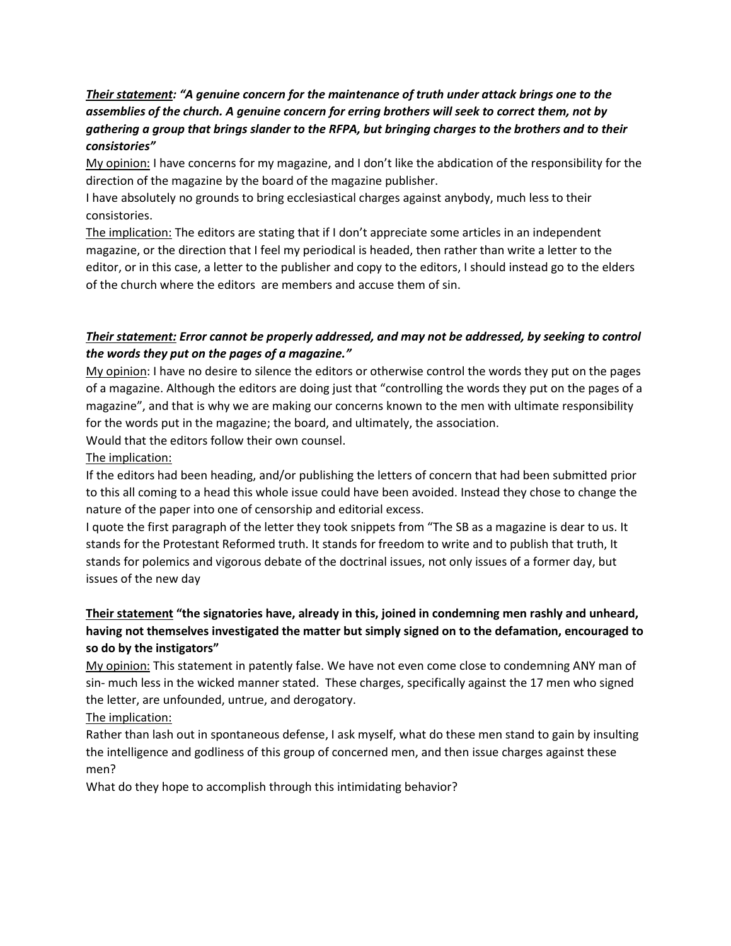# *Their statement: "A genuine concern for the maintenance of truth under attack brings one to the assemblies of the church. A genuine concern for erring brothers will seek to correct them, not by gathering a group that brings slander to the RFPA, but bringing charges to the brothers and to their consistories"*

My opinion: I have concerns for my magazine, and I don't like the abdication of the responsibility for the direction of the magazine by the board of the magazine publisher.

I have absolutely no grounds to bring ecclesiastical charges against anybody, much less to their consistories.

The implication: The editors are stating that if I don't appreciate some articles in an independent magazine, or the direction that I feel my periodical is headed, then rather than write a letter to the editor, or in this case, a letter to the publisher and copy to the editors, I should instead go to the elders of the church where the editors are members and accuse them of sin.

## *Their statement: Error cannot be properly addressed, and may not be addressed, by seeking to control the words they put on the pages of a magazine."*

My opinion: I have no desire to silence the editors or otherwise control the words they put on the pages of a magazine. Although the editors are doing just that "controlling the words they put on the pages of a magazine", and that is why we are making our concerns known to the men with ultimate responsibility for the words put in the magazine; the board, and ultimately, the association.

Would that the editors follow their own counsel.

The implication:

If the editors had been heading, and/or publishing the letters of concern that had been submitted prior to this all coming to a head this whole issue could have been avoided. Instead they chose to change the nature of the paper into one of censorship and editorial excess.

I quote the first paragraph of the letter they took snippets from "The SB as a magazine is dear to us. It stands for the Protestant Reformed truth. It stands for freedom to write and to publish that truth, It stands for polemics and vigorous debate of the doctrinal issues, not only issues of a former day, but issues of the new day

# **Their statement "the signatories have, already in this, joined in condemning men rashly and unheard, having not themselves investigated the matter but simply signed on to the defamation, encouraged to so do by the instigators"**

My opinion: This statement in patently false. We have not even come close to condemning ANY man of sin- much less in the wicked manner stated. These charges, specifically against the 17 men who signed the letter, are unfounded, untrue, and derogatory.

The implication:

Rather than lash out in spontaneous defense, I ask myself, what do these men stand to gain by insulting the intelligence and godliness of this group of concerned men, and then issue charges against these men?

What do they hope to accomplish through this intimidating behavior?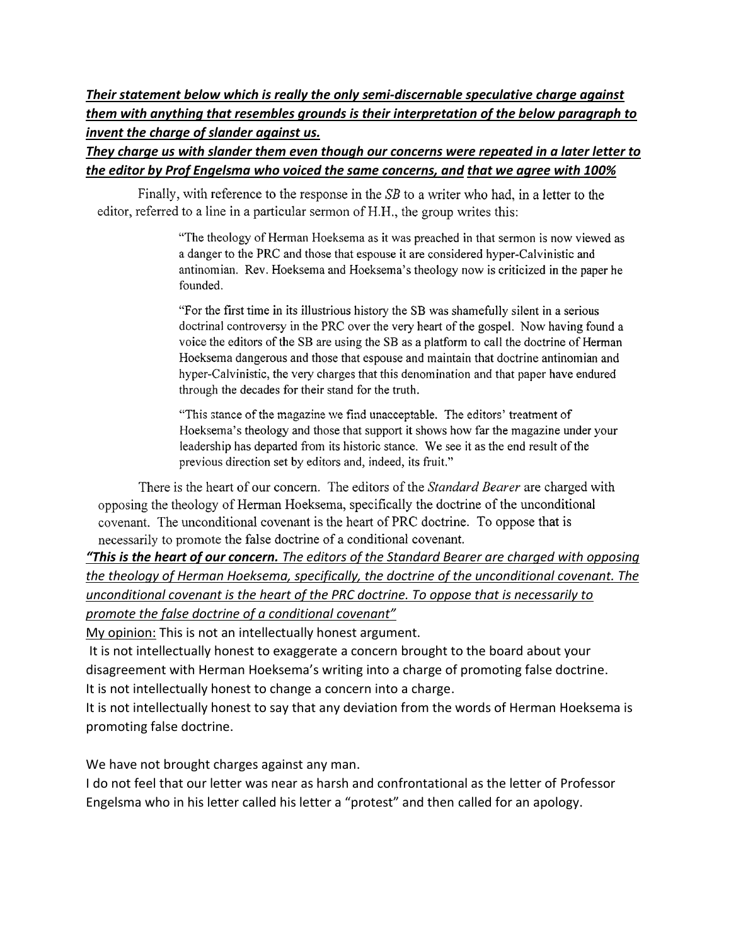*Their statement below which is really the only semi-discernable speculative charge against them with anything that resembles grounds is their interpretation of the below paragraph to invent the charge of slander against us.* 

*They charge us with slander them even though our concerns were repeated in a later letter to the editor by Prof Engelsma who voiced the same concerns, and that we agree with 100%*

Finally, with reference to the response in the SB to a writer who had, in a letter to the editor, referred to a line in a particular sermon of H.H., the group writes this:

> "The theology of Herman Hoeksema as it was preached in that sermon is now viewed as a danger to the PRC and those that espouse it are considered hyper-Calvinistic and antinomian. Rev. Hoeksema and Hoeksema's theology now is criticized in the paper he founded.

> "For the first time in its illustrious history the SB was shamefully silent in a serious doctrinal controversy in the PRC over the very heart of the gospel. Now having found a voice the editors of the SB are using the SB as a platform to call the doctrine of Herman Hoeksema dangerous and those that espouse and maintain that doctrine antinomian and hyper-Calvinistic, the very charges that this denomination and that paper have endured through the decades for their stand for the truth.

"This stance of the magazine we find unacceptable. The editors' treatment of Hoeksema's theology and those that support it shows how far the magazine under your leadership has departed from its historic stance. We see it as the end result of the previous direction set by editors and, indeed, its fruit."

There is the heart of our concern. The editors of the Standard Bearer are charged with opposing the theology of Herman Hoeksema, specifically the doctrine of the unconditional covenant. The unconditional covenant is the heart of PRC doctrine. To oppose that is necessarily to promote the false doctrine of a conditional covenant.

*"This is the heart of our concern. The editors of the Standard Bearer are charged with opposing the theology of Herman Hoeksema, specifically, the doctrine of the unconditional covenant. The unconditional covenant is the heart of the PRC doctrine. To oppose that is necessarily to promote the false doctrine of a conditional covenant"*

My opinion: This is not an intellectually honest argument.

It is not intellectually honest to exaggerate a concern brought to the board about your disagreement with Herman Hoeksema's writing into a charge of promoting false doctrine. It is not intellectually honest to change a concern into a charge.

It is not intellectually honest to say that any deviation from the words of Herman Hoeksema is promoting false doctrine.

We have not brought charges against any man.

I do not feel that our letter was near as harsh and confrontational as the letter of Professor Engelsma who in his letter called his letter a "protest" and then called for an apology.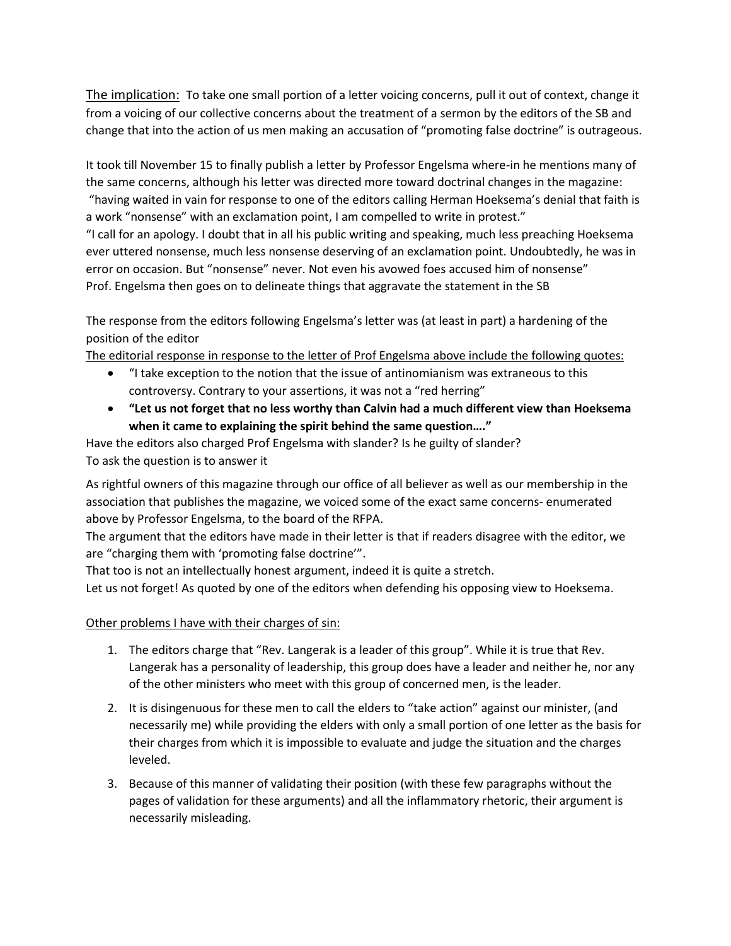The implication:To take one small portion of a letter voicing concerns, pull it out of context, change it from a voicing of our collective concerns about the treatment of a sermon by the editors of the SB and change that into the action of us men making an accusation of "promoting false doctrine" is outrageous.

It took till November 15 to finally publish a letter by Professor Engelsma where-in he mentions many of the same concerns, although his letter was directed more toward doctrinal changes in the magazine: "having waited in vain for response to one of the editors calling Herman Hoeksema's denial that faith is a work "nonsense" with an exclamation point, I am compelled to write in protest."

"I call for an apology. I doubt that in all his public writing and speaking, much less preaching Hoeksema ever uttered nonsense, much less nonsense deserving of an exclamation point. Undoubtedly, he was in error on occasion. But "nonsense" never. Not even his avowed foes accused him of nonsense" Prof. Engelsma then goes on to delineate things that aggravate the statement in the SB

The response from the editors following Engelsma's letter was (at least in part) a hardening of the position of the editor

The editorial response in response to the letter of Prof Engelsma above include the following quotes:

- "I take exception to the notion that the issue of antinomianism was extraneous to this controversy. Contrary to your assertions, it was not a "red herring"
- **"Let us not forget that no less worthy than Calvin had a much different view than Hoeksema when it came to explaining the spirit behind the same question…."**

Have the editors also charged Prof Engelsma with slander? Is he guilty of slander? To ask the question is to answer it

As rightful owners of this magazine through our office of all believer as well as our membership in the association that publishes the magazine, we voiced some of the exact same concerns- enumerated above by Professor Engelsma, to the board of the RFPA.

The argument that the editors have made in their letter is that if readers disagree with the editor, we are "charging them with 'promoting false doctrine'".

That too is not an intellectually honest argument, indeed it is quite a stretch.

Let us not forget! As quoted by one of the editors when defending his opposing view to Hoeksema.

#### Other problems I have with their charges of sin:

- 1. The editors charge that "Rev. Langerak is a leader of this group". While it is true that Rev. Langerak has a personality of leadership, this group does have a leader and neither he, nor any of the other ministers who meet with this group of concerned men, is the leader.
- 2. It is disingenuous for these men to call the elders to "take action" against our minister, (and necessarily me) while providing the elders with only a small portion of one letter as the basis for their charges from which it is impossible to evaluate and judge the situation and the charges leveled.
- 3. Because of this manner of validating their position (with these few paragraphs without the pages of validation for these arguments) and all the inflammatory rhetoric, their argument is necessarily misleading.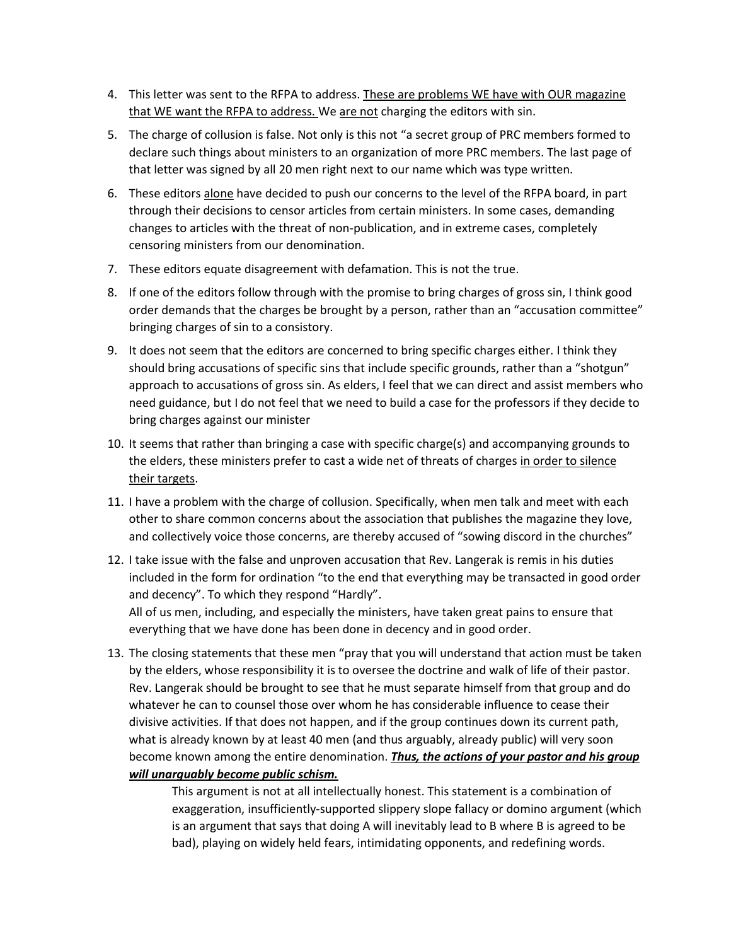- 4. This letter was sent to the RFPA to address. These are problems WE have with OUR magazine that WE want the RFPA to address. We are not charging the editors with sin.
- 5. The charge of collusion is false. Not only is this not "a secret group of PRC members formed to declare such things about ministers to an organization of more PRC members. The last page of that letter was signed by all 20 men right next to our name which was type written.
- 6. These editors alone have decided to push our concerns to the level of the RFPA board, in part through their decisions to censor articles from certain ministers. In some cases, demanding changes to articles with the threat of non-publication, and in extreme cases, completely censoring ministers from our denomination.
- 7. These editors equate disagreement with defamation. This is not the true.
- 8. If one of the editors follow through with the promise to bring charges of gross sin, I think good order demands that the charges be brought by a person, rather than an "accusation committee" bringing charges of sin to a consistory.
- 9. It does not seem that the editors are concerned to bring specific charges either. I think they should bring accusations of specific sins that include specific grounds, rather than a "shotgun" approach to accusations of gross sin. As elders, I feel that we can direct and assist members who need guidance, but I do not feel that we need to build a case for the professors if they decide to bring charges against our minister
- 10. It seems that rather than bringing a case with specific charge(s) and accompanying grounds to the elders, these ministers prefer to cast a wide net of threats of charges in order to silence their targets.
- 11. I have a problem with the charge of collusion. Specifically, when men talk and meet with each other to share common concerns about the association that publishes the magazine they love, and collectively voice those concerns, are thereby accused of "sowing discord in the churches"
- 12. I take issue with the false and unproven accusation that Rev. Langerak is remis in his duties included in the form for ordination "to the end that everything may be transacted in good order and decency". To which they respond "Hardly".

All of us men, including, and especially the ministers, have taken great pains to ensure that everything that we have done has been done in decency and in good order.

13. The closing statements that these men "pray that you will understand that action must be taken by the elders, whose responsibility it is to oversee the doctrine and walk of life of their pastor. Rev. Langerak should be brought to see that he must separate himself from that group and do whatever he can to counsel those over whom he has considerable influence to cease their divisive activities. If that does not happen, and if the group continues down its current path, what is already known by at least 40 men (and thus arguably, already public) will very soon become known among the entire denomination. *Thus, the actions of your pastor and his group will unarguably become public schism.*

> This argument is not at all intellectually honest. This statement is a combination of exaggeration, insufficiently-supported slippery slope fallacy or domino argument (which is an argument that says that doing A will inevitably lead to B where B is agreed to be bad), playing on widely held fears, intimidating opponents, and redefining words.